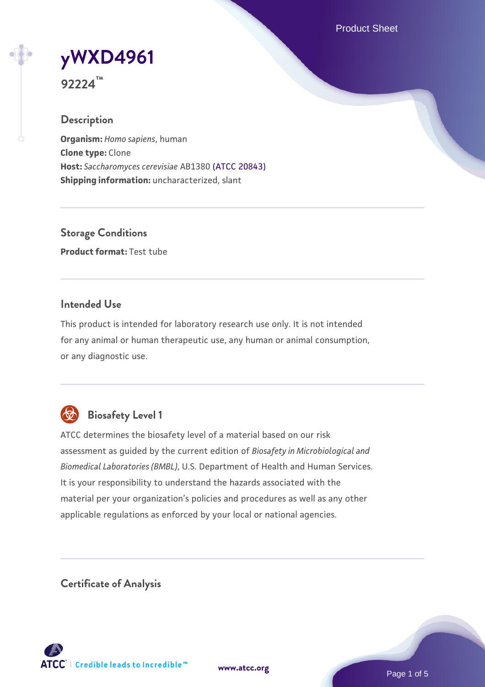Product Sheet

# **[yWXD4961](https://www.atcc.org/products/92224)**

**92224™**

## **Description**

**Organism:** *Homo sapiens*, human **Clone type:** Clone **Host:** *Saccharomyces cerevisiae* AB1380 [\(ATCC 20843\)](https://www.atcc.org/products/20843) **Shipping information:** uncharacterized, slant

**Storage Conditions Product format:** Test tube

## **Intended Use**

This product is intended for laboratory research use only. It is not intended for any animal or human therapeutic use, any human or animal consumption, or any diagnostic use.



## **Biosafety Level 1**

ATCC determines the biosafety level of a material based on our risk assessment as guided by the current edition of *Biosafety in Microbiological and Biomedical Laboratories (BMBL)*, U.S. Department of Health and Human Services. It is your responsibility to understand the hazards associated with the material per your organization's policies and procedures as well as any other applicable regulations as enforced by your local or national agencies.

**Certificate of Analysis**

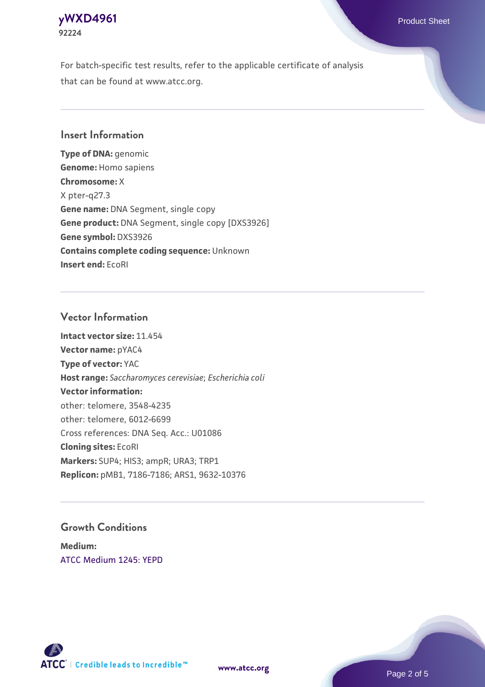## **[yWXD4961](https://www.atcc.org/products/92224)** Product Sheet **92224**

For batch-specific test results, refer to the applicable certificate of analysis that can be found at www.atcc.org.

## **Insert Information**

**Type of DNA:** genomic **Genome:** Homo sapiens **Chromosome:** X X pter-q27.3 **Gene name:** DNA Segment, single copy **Gene product:** DNA Segment, single copy [DXS3926] **Gene symbol:** DXS3926 **Contains complete coding sequence:** Unknown **Insert end:** EcoRI

## **Vector Information**

**Intact vector size:** 11.454 **Vector name:** pYAC4 **Type of vector:** YAC **Host range:** *Saccharomyces cerevisiae*; *Escherichia coli* **Vector information:** other: telomere, 3548-4235 other: telomere, 6012-6699 Cross references: DNA Seq. Acc.: U01086 **Cloning sites:** EcoRI **Markers:** SUP4; HIS3; ampR; URA3; TRP1 **Replicon:** pMB1, 7186-7186; ARS1, 9632-10376

## **Growth Conditions**

**Medium:**  [ATCC Medium 1245: YEPD](https://www.atcc.org/-/media/product-assets/documents/microbial-media-formulations/1/2/4/5/atcc-medium-1245.pdf?rev=705ca55d1b6f490a808a965d5c072196)



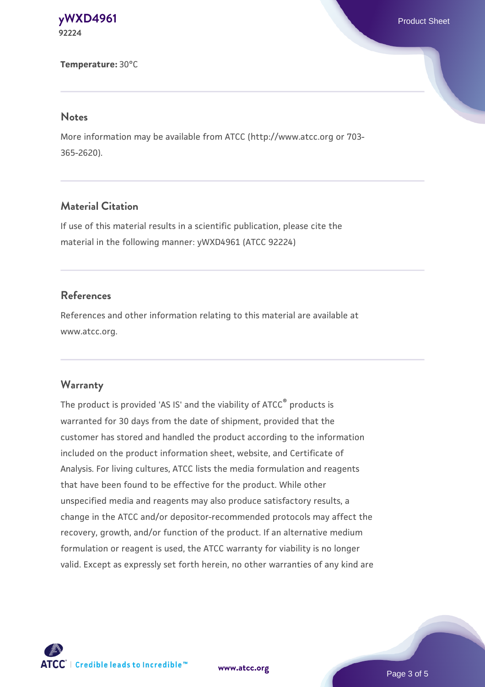## **[yWXD4961](https://www.atcc.org/products/92224)** Product Sheet **92224**

#### **Temperature:** 30°C

## **Notes**

More information may be available from ATCC (http://www.atcc.org or 703- 365-2620).

## **Material Citation**

If use of this material results in a scientific publication, please cite the material in the following manner: yWXD4961 (ATCC 92224)

## **References**

References and other information relating to this material are available at www.atcc.org.

## **Warranty**

The product is provided 'AS IS' and the viability of ATCC® products is warranted for 30 days from the date of shipment, provided that the customer has stored and handled the product according to the information included on the product information sheet, website, and Certificate of Analysis. For living cultures, ATCC lists the media formulation and reagents that have been found to be effective for the product. While other unspecified media and reagents may also produce satisfactory results, a change in the ATCC and/or depositor-recommended protocols may affect the recovery, growth, and/or function of the product. If an alternative medium formulation or reagent is used, the ATCC warranty for viability is no longer valid. Except as expressly set forth herein, no other warranties of any kind are

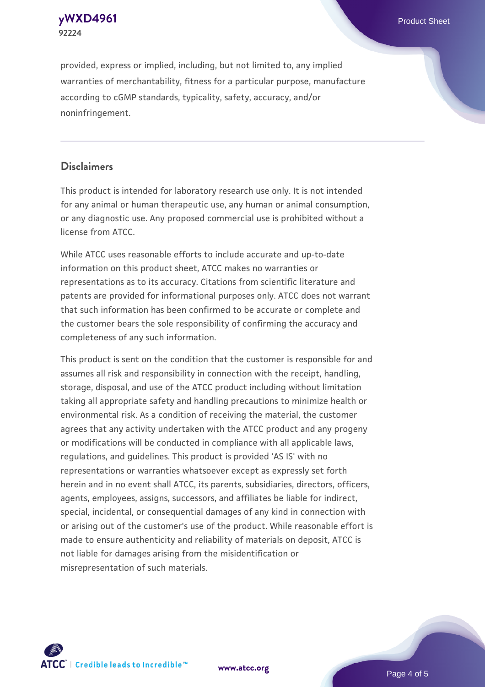**[yWXD4961](https://www.atcc.org/products/92224)** Product Sheet **92224**

provided, express or implied, including, but not limited to, any implied warranties of merchantability, fitness for a particular purpose, manufacture according to cGMP standards, typicality, safety, accuracy, and/or noninfringement.

## **Disclaimers**

This product is intended for laboratory research use only. It is not intended for any animal or human therapeutic use, any human or animal consumption, or any diagnostic use. Any proposed commercial use is prohibited without a license from ATCC.

While ATCC uses reasonable efforts to include accurate and up-to-date information on this product sheet, ATCC makes no warranties or representations as to its accuracy. Citations from scientific literature and patents are provided for informational purposes only. ATCC does not warrant that such information has been confirmed to be accurate or complete and the customer bears the sole responsibility of confirming the accuracy and completeness of any such information.

This product is sent on the condition that the customer is responsible for and assumes all risk and responsibility in connection with the receipt, handling, storage, disposal, and use of the ATCC product including without limitation taking all appropriate safety and handling precautions to minimize health or environmental risk. As a condition of receiving the material, the customer agrees that any activity undertaken with the ATCC product and any progeny or modifications will be conducted in compliance with all applicable laws, regulations, and guidelines. This product is provided 'AS IS' with no representations or warranties whatsoever except as expressly set forth herein and in no event shall ATCC, its parents, subsidiaries, directors, officers, agents, employees, assigns, successors, and affiliates be liable for indirect, special, incidental, or consequential damages of any kind in connection with or arising out of the customer's use of the product. While reasonable effort is made to ensure authenticity and reliability of materials on deposit, ATCC is not liable for damages arising from the misidentification or misrepresentation of such materials.



**[www.atcc.org](http://www.atcc.org)**

Page 4 of 5